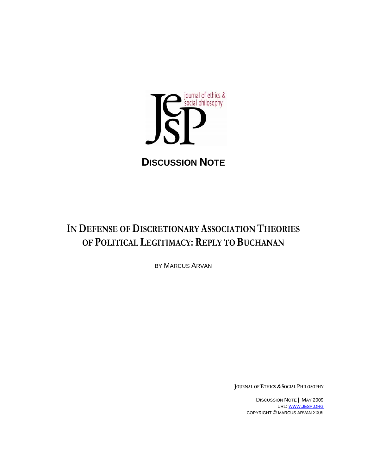

**DISCUSSION NOTE**

# **IN DEFENSE OF DISCRETIONARY ASSOCIATION THEORIES OF POLITICAL LEGITIMACY: REPLY TO BUCHANAN**

BY MARCUS ARVAN

**JOURNAL OF ETHICS & SOCIAL PHILOSOPHY**

DISCUSSION NOTE | MAY 2009 URL: WWW.JESP.ORG COPYRIGHT © MARCUS ARVAN 2009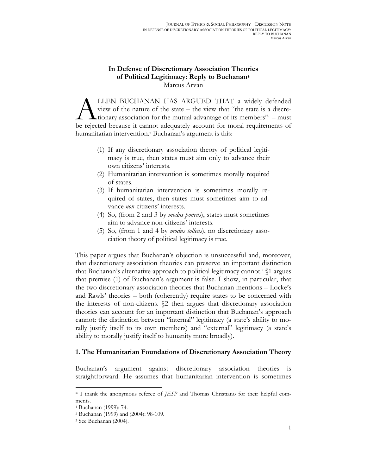## **In Defense of Discretionary Association Theories of Political Legitimacy: Reply to Buchanan\*** Marcus Arvan

LLEN BUCHANAN HAS ARGUED THAT a widely defended view of the nature of the state – the view that "the state is a discretionary association for the mutual advantage of its members $\frac{m}{1}$  – must LLEN BUCHANAN HAS ARGUED THAT a widely defended view of the nature of the state – the view that "the state is a discretionary association for the mutual advantage of its members"<sup>1</sup> – must be rejected because it cannot ade humanitarian intervention.<sup>2</sup> Buchanan's argument is this:

- (1) If any discretionary association theory of political legitimacy is true, then states must aim only to advance their own citizens' interests.
- (2) Humanitarian intervention is sometimes morally required of states.
- (3) If humanitarian intervention is sometimes morally required of states, then states must sometimes aim to advance *non*-citizens' interests.
- (4) So, (from 2 and 3 by *modus ponens*), states must sometimes aim to advance non-citizens' interests.
- (5) So, (from 1 and 4 by *modus tollens*), no discretionary association theory of political legitimacy is true.

This paper argues that Buchanan's objection is unsuccessful and, moreover, that discretionary association theories can preserve an important distinction that Buchanan's alternative approach to political legitimacy cannot.<sup>3</sup>  $\$ 1 argues that premise (1) of Buchanan's argument is false. I show, in particular, that the two discretionary association theories that Buchanan mentions – Locke's and Rawls' theories – both (coherently) require states to be concerned with the interests of non-citizens. §2 then argues that discretionary association theories can account for an important distinction that Buchanan's approach cannot: the distinction between "internal" legitimacy (a state's ability to morally justify itself to its own members) and "external" legitimacy (a state's ability to morally justify itself to humanity more broadly).

### **1. The Humanitarian Foundations of Discretionary Association Theory**

Buchanan's argument against discretionary association theories is straightforward. He assumes that humanitarian intervention is sometimes

<sup>\*</sup> I thank the anonymous referee of *JESP* and Thomas Christiano for their helpful comments.

<sup>1</sup> Buchanan (1999): 74.

<sup>2</sup> Buchanan (1999) and (2004): 98-109.

<sup>3</sup> See Buchanan (2004).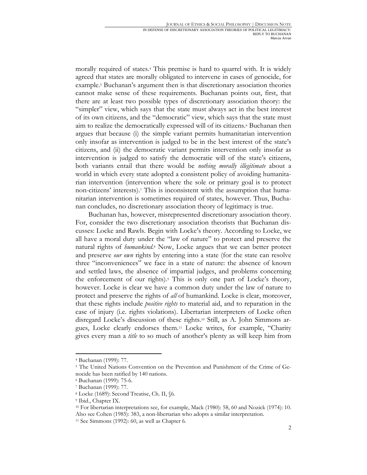morally required of states.4 This premise is hard to quarrel with. It is widely agreed that states are morally obligated to intervene in cases of genocide, for example.5 Buchanan's argument then is that discretionary association theories cannot make sense of these requirements. Buchanan points out, first, that there are at least two possible types of discretionary association theory: the "simpler" view, which says that the state must always act in the best interest of its own citizens, and the "democratic" view, which says that the state must aim to realize the democratically expressed will of its citizens.6 Buchanan then argues that because (i) the simple variant permits humanitarian intervention only insofar as intervention is judged to be in the best interest of the state's citizens, and (ii) the democratic variant permits intervention only insofar as intervention is judged to satisfy the democratic will of the state's citizens, both variants entail that there would be *nothing morally illegitimate* about a world in which every state adopted a consistent policy of avoiding humanitarian intervention (intervention where the sole or primary goal is to protect non-citizens' interests).7 This is inconsistent with the assumption that humanitarian intervention is sometimes required of states, however. Thus, Buchanan concludes, no discretionary association theory of legitimacy is true.

Buchanan has, however, misrepresented discretionary association theory. For, consider the two discretionary association theorists that Buchanan discusses: Locke and Rawls. Begin with Locke's theory. According to Locke, we all have a moral duty under the "law of nature" to protect and preserve the natural rights of *humankind*.8 Now, Locke argues that we can better protect and preserve *our own* rights by entering into a state (for the state can resolve three "inconveniences" we face in a state of nature: the absence of known and settled laws, the absence of impartial judges, and problems concerning the enforcement of our rights).9 This is only one part of Locke's theory, however. Locke is clear we have a common duty under the law of nature to protect and preserve the rights of *all* of humankind. Locke is clear, moreover, that these rights include *positive rights* to material aid, and to reparation in the case of injury (i.e. rights violations). Libertarian interpreters of Locke often disregard Locke's discussion of these rights.10 Still, as A. John Simmons argues, Locke clearly endorses them.11 Locke writes, for example, "Charity gives every man a *title* to so much of another's plenty as will keep him from

<sup>4</sup> Buchanan (1999): 77.

<sup>5</sup> The United Nations Convention on the Prevention and Punishment of the Crime of Genocide has been ratified by 140 nations.

<sup>6</sup> Buchanan (1999): 75-6.

<sup>7</sup> Buchanan (1999): 77.

<sup>8</sup> Locke (1689): Second Treatise, Ch. II, §6. 9 Ibid., Chapter IX.

<sup>10</sup> For libertarian interpretations see, for example, Mack (1980): 58, 60 and Nozick (1974): 10. Also see Cohen (1985): 383, a non-libertarian who adopts a similar interpretation. 11 See Simmons (1992): 60, as well as Chapter 6.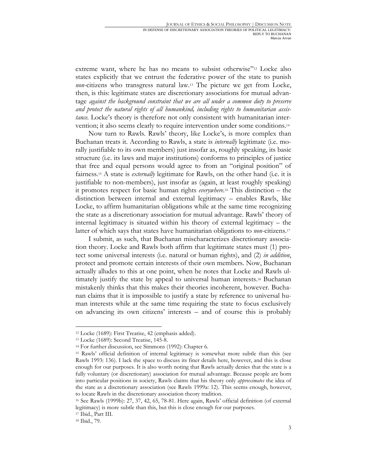extreme want, where he has no means to subsist otherwise"<sup>12</sup> Locke also states explicitly that we entrust the federative power of the state to punish *non*-citizens who transgress natural law.13 The picture we get from Locke, then, is this: legitimate states are discretionary associations for mutual advantage *against the background constraint that we are all under a common duty to preserve and protect the natural rights of all humankind, including rights to humanitarian assistance.* Locke's theory is therefore not only consistent with humanitarian intervention; it also seems clearly to require intervention under some conditions.14

Now turn to Rawls. Rawls' theory, like Locke's, is more complex than Buchanan treats it. According to Rawls, a state is *internally* legitimate (i.e. morally justifiable to its own members) just insofar as, roughly speaking, its basic structure (i.e. its laws and major institutions) conforms to principles of justice that free and equal persons would agree to from an "original position" of fairness.15 A state is *externally* legitimate for Rawls, on the other hand (i.e. it is justifiable to non-members), just insofar as (again, at least roughly speaking) it promotes respect for basic human rights *everywhere*.16 This distinction – the distinction between internal and external legitimacy – enables Rawls, like Locke, to affirm humanitarian obligations while at the same time recognizing the state as a discretionary association for mutual advantage. Rawls' theory of internal legitimacy is situated within his theory of external legitimacy – the latter of which says that states have humanitarian obligations to *non*-citizens.17

I submit, as such, that Buchanan mischaracterizes discretionary association theory. Locke and Rawls both affirm that legitimate states must (1) protect some universal interests (i.e. natural or human rights), and (2) *in addition*, protect and promote certain interests of their own members. Now, Buchanan actually alludes to this at one point, when he notes that Locke and Rawls ultimately justify the state by appeal to universal human interests.18 Buchanan mistakenly thinks that this makes their theories incoherent, however. Buchanan claims that it is impossible to justify a state by reference to universal human interests while at the same time requiring the state to focus exclusively on advancing its own citizens' interests – and of course this is probably

18 Ibid., 79.

<sup>12</sup> Locke (1689): First Treatise, 42 (emphasis added). 13 Locke (1689): Second Treatise, 145-8.

<sup>14</sup> For further discussion, see Simmons (1992): Chapter 6.

<sup>15</sup> Rawls' official definition of internal legitimacy is somewhat more subtle than this (see Rawls 1993: 136). I lack the space to discuss its finer details here, however, and this is close enough for our purposes. It is also worth noting that Rawls actually denies that the state is a fully voluntary (or discretionary) association for mutual advantage. Because people are born into particular positions in society, Rawls claims that his theory only *approximates* the idea of the state as a discretionary association (see Rawls 1999a: 12). This seems enough, however, to locate Rawls in the discretionary association theory tradition.

<sup>16</sup> See Rawls (1999b): 27, 37, 42, 65, 78-81. Here again, Rawls' official definition (of external legitimacy) is more subtle than this, but this is close enough for our purposes. 17 Ibid., Part III.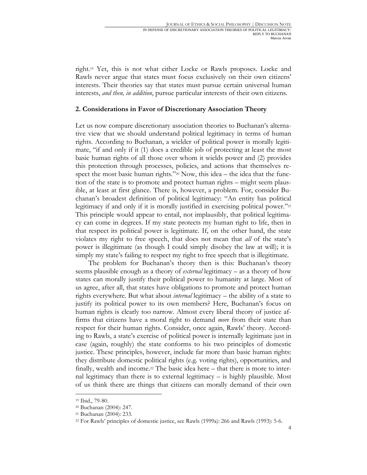right.19 Yet, this is not what either Locke or Rawls proposes. Locke and Rawls never argue that states must focus exclusively on their own citizens' interests. Their theories say that states must pursue certain universal human interests, *and then, in addition*, pursue particular interests of their own citizens.

#### **2. Considerations in Favor of Discretionary Association Theory**

Let us now compare discretionary association theories to Buchanan's alternative view that we should understand political legitimacy in terms of human rights. According to Buchanan, a wielder of political power is morally legitimate, "if and only if it (1) does a credible job of protecting at least the most basic human rights of all those over whom it wields power and (2) provides this protection through processes, policies, and actions that themselves respect the most basic human rights." $20$  Now, this idea – the idea that the function of the state is to promote and protect human rights – might seem plausible, at least at first glance. There is, however, a problem. For, consider Buchanan's broadest definition of political legitimacy: "An entity has political legitimacy if and only if it is morally justified in exercising political power."<sup>21</sup> This principle would appear to entail, not implausibly, that political legitimacy can come in degrees. If my state protects my human right to life, then in that respect its political power is legitimate. If, on the other hand, the state violates my right to free speech, that does not mean that *all* of the state's power is illegitimate (as though I could simply disobey the law at will); it is simply my state's failing to respect my right to free speech that is illegitimate.

The problem for Buchanan's theory then is this: Buchanan's theory seems plausible enough as a theory of *external* legitimacy – as a theory of how states can morally justify their political power to humanity at large. Most of us agree, after all, that states have obligations to promote and protect human rights everywhere. But what about *internal* legitimacy – the ability of a state to justify its political power to its own members? Here, Buchanan's focus on human rights is clearly too narrow. Almost every liberal theory of justice affirms that citizens have a moral right to demand *more* from their state than respect for their human rights. Consider, once again, Rawls' theory. According to Rawls, a state's exercise of political power is internally legitimate just in case (again, roughly) the state conforms to his two principles of domestic justice. These principles, however, include far more than basic human rights: they distribute domestic political rights (e.g. voting rights), opportunities, and finally, wealth and income.<sup>22</sup> The basic idea here – that there is more to internal legitimacy than there is to external legitimacy – is highly plausible. Most of us think there are things that citizens can morally demand of their own

<sup>19</sup> Ibid., 79-80.

<sup>20</sup> Buchanan (2004): 247.

<sup>21</sup> Buchanan (2004): 233.

<sup>22</sup> For Rawls' principles of domestic justice, see Rawls (1999a): 266 and Rawls (1993): 5-6.